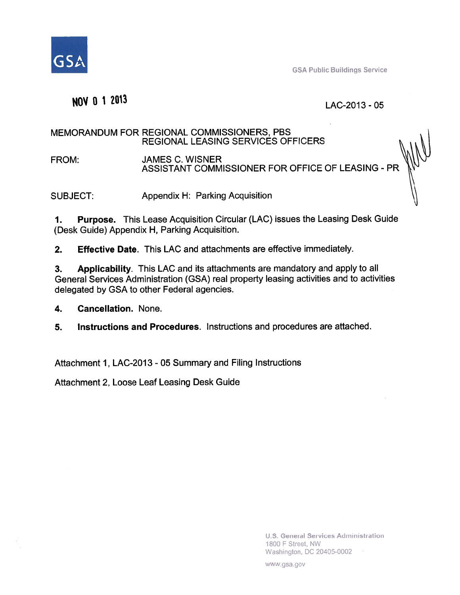

**GSA Public Buildings Service** 

#### NOV 0 1 2013

#### LAC-2013 - 05

#### MEMORANDUM FOR REGIONAL COMMISSIONERS, PBS **REGIONAL LEASING SERVICES OFFICERS**

FROM: **JAMES C. WISNER** ASSISTANT COMMISSIONER FOR OFFICE OF LEASING - PR

Appendix H: Parking Acquisition SUBJECT:

**Purpose.** This Lease Acquisition Circular (LAC) issues the Leasing Desk Guide 1. (Desk Guide) Appendix H, Parking Acquisition.

 $2.$ **Effective Date.** This LAC and attachments are effective immediately.

Applicability. This LAC and its attachments are mandatory and apply to all 3. General Services Administration (GSA) real property leasing activities and to activities delegated by GSA to other Federal agencies.

**Cancellation. None.** 4.

5. Instructions and Procedures. Instructions and procedures are attached.

Attachment 1, LAC-2013 - 05 Summary and Filing Instructions

Attachment 2, Loose Leaf Leasing Desk Guide

**U.S. General Services Administration** 1800 F Street, NW Washington, DC 20405-0002

www.gsa.gov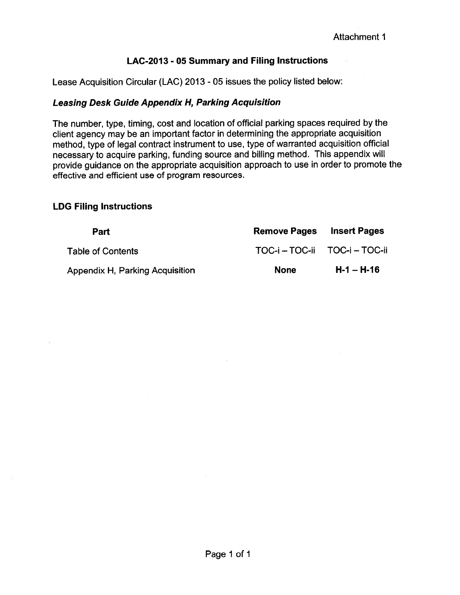#### LAC-2013 - 05 Summary and Filing Instructions

Lease Acquisition Circular (LAC) 2013 - 05 issues the policy listed below:

#### **Leasing Desk Guide Appendix H, Parking Acquisition**

The number, type, timing, cost and location of official parking spaces required by the client agency may be an important factor in determining the appropriate acquisition method, type of legal contract instrument to use, type of warranted acquisition official necessary to acquire parking, funding source and billing method. This appendix will provide guidance on the appropriate acquisition approach to use in order to promote the effective and efficient use of program resources.

#### **LDG Filing Instructions**

| Part                            | <b>Remove Pages</b>           | <b>Insert Pages</b> |
|---------------------------------|-------------------------------|---------------------|
| <b>Table of Contents</b>        | TOC-i - TOC-ii TOC-i - TOC-ii |                     |
| Appendix H, Parking Acquisition | <b>None</b>                   | $H-1 - H-16$        |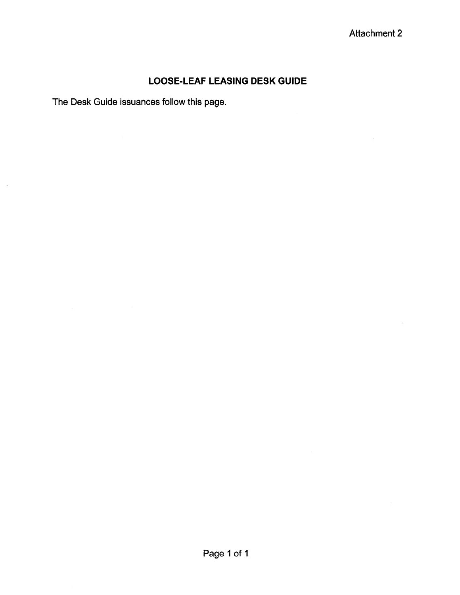#### **LOOSE-LEAF LEASING DESK GUIDE**

The Desk Guide issuances follow this page.

 $\sim$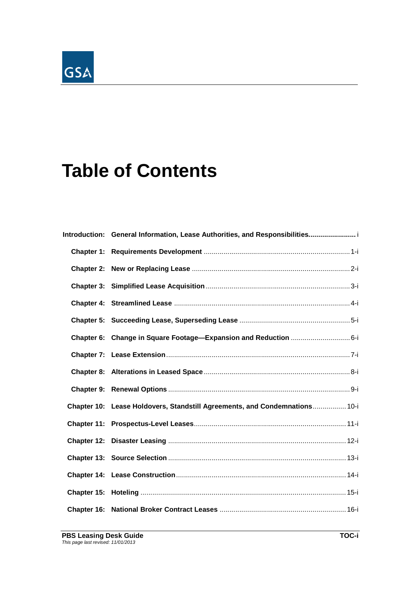# GSA

## **Table of Contents**

| Introduction: General Information, Lease Authorities, and Responsibilities i |
|------------------------------------------------------------------------------|
|                                                                              |
|                                                                              |
|                                                                              |
|                                                                              |
|                                                                              |
| Chapter 6: Change in Square Footage—Expansion and Reduction 6-i              |
|                                                                              |
|                                                                              |
|                                                                              |
| Chapter 10: Lease Holdovers, Standstill Agreements, and Condemnations 10-i   |
|                                                                              |
|                                                                              |
|                                                                              |
|                                                                              |
|                                                                              |
|                                                                              |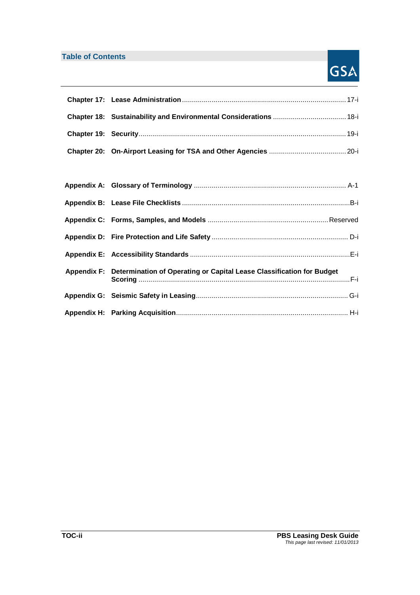#### **Table of Contents**

## GSA

| Appendix F: Determination of Operating or Capital Lease Classification for Budget |  |
|-----------------------------------------------------------------------------------|--|
|                                                                                   |  |
|                                                                                   |  |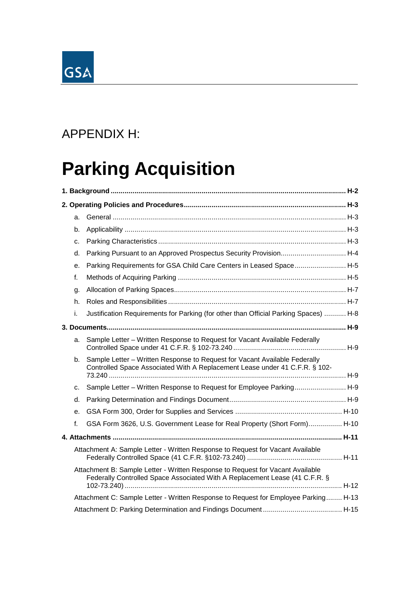

## APPENDIX H:

## **Parking Acquisition**

| a. |                                                                                                                                                               |  |
|----|---------------------------------------------------------------------------------------------------------------------------------------------------------------|--|
| b. |                                                                                                                                                               |  |
| C. |                                                                                                                                                               |  |
| d. | Parking Pursuant to an Approved Prospectus Security Provision H-4                                                                                             |  |
| е. | Parking Requirements for GSA Child Care Centers in Leased Space H-5                                                                                           |  |
| f. |                                                                                                                                                               |  |
| q. |                                                                                                                                                               |  |
| h. |                                                                                                                                                               |  |
| i. | Justification Requirements for Parking (for other than Official Parking Spaces)  H-8                                                                          |  |
|    |                                                                                                                                                               |  |
| a. | Sample Letter - Written Response to Request for Vacant Available Federally                                                                                    |  |
| b. | Sample Letter - Written Response to Request for Vacant Available Federally<br>Controlled Space Associated With A Replacement Lease under 41 C.F.R. § 102-     |  |
| C. | Sample Letter - Written Response to Request for Employee Parking H-9                                                                                          |  |
| d. |                                                                                                                                                               |  |
| е. |                                                                                                                                                               |  |
| f. | GSA Form 3626, U.S. Government Lease for Real Property (Short Form) H-10                                                                                      |  |
|    |                                                                                                                                                               |  |
|    | Attachment A: Sample Letter - Written Response to Request for Vacant Available                                                                                |  |
|    | Attachment B: Sample Letter - Written Response to Request for Vacant Available<br>Federally Controlled Space Associated With A Replacement Lease (41 C.F.R. § |  |
|    | Attachment C: Sample Letter - Written Response to Request for Employee Parking H-13                                                                           |  |
|    |                                                                                                                                                               |  |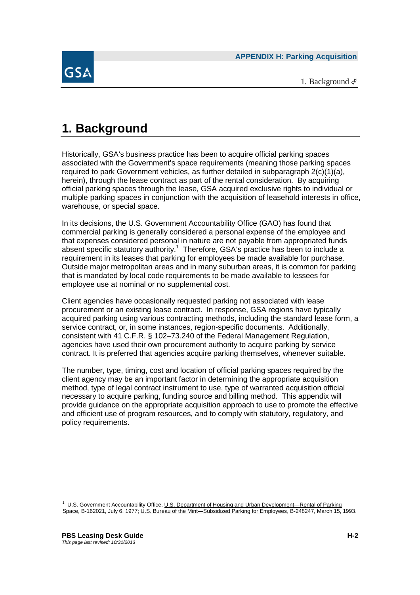

1. Background  $\mathcal{P}$ 

## **1. Background**

Historically, GSA's business practice has been to acquire official parking spaces associated with the Government's space requirements (meaning those parking spaces required to park Government vehicles, as further detailed in subparagraph 2(c)(1)(a), herein), through the lease contract as part of the rental consideration. By acquiring official parking spaces through the lease, GSA acquired exclusive rights to individual or multiple parking spaces in conjunction with the acquisition of leasehold interests in office, warehouse, or special space.

In its decisions, the U.S. Government Accountability Office (GAO) has found that commercial parking is generally considered a personal expense of the employee and that expenses considered personal in nature are not payable from appropriated funds absent specific statutory authority.<sup>1</sup> Therefore, GSA's practice has been to include a requirement in its leases that parking for employees be made available for purchase. Outside major metropolitan areas and in many suburban areas, it is common for parking that is mandated by local code requirements to be made available to lessees for employee use at nominal or no supplemental cost.

Client agencies have occasionally requested parking not associated with lease procurement or an existing lease contract. In response, GSA regions have typically acquired parking using various contracting methods, including the standard lease form, a service contract, or, in some instances, region-specific documents. Additionally, consistent with 41 C.F.R. § 102–73.240 of the Federal Management Regulation, agencies have used their own procurement authority to acquire parking by service contract. It is preferred that agencies acquire parking themselves, whenever suitable.

The number, type, timing, cost and location of official parking spaces required by the client agency may be an important factor in determining the appropriate acquisition method, type of legal contract instrument to use, type of warranted acquisition official necessary to acquire parking, funding source and billing method. This appendix will provide guidance on the appropriate acquisition approach to use to promote the effective and efficient use of program resources, and to comply with statutory, regulatory, and policy requirements.

<sup>&</sup>lt;sup>1</sup> U.S. Government Accountability Office, U<u>.S. Department of Housing and Urban Development—Rental of Parking</u> Space, B-162021, July 6, 1977; U.S. Bureau of the Mint—Subsidized Parking for Employees, B-248247, March 15, 1993.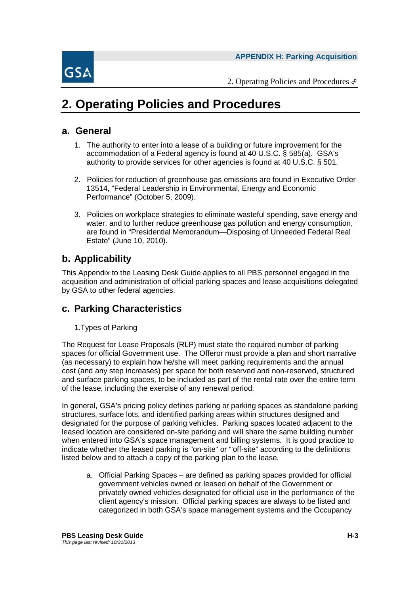

## **2. Operating Policies and Procedures**

#### **a. General**

- 1. The authority to enter into a lease of a building or future improvement for the accommodation of a Federal agency is found at 40 U.S.C. § 585(a). GSA's authority to provide services for other agencies is found at 40 U.S.C. § 501.
- 2. Policies for reduction of greenhouse gas emissions are found in Executive Order 13514, "Federal Leadership in Environmental, Energy and Economic Performance" (October 5, 2009).
- 3. Policies on workplace strategies to eliminate wasteful spending, save energy and water, and to further reduce greenhouse gas pollution and energy consumption, are found in "Presidential Memorandum—Disposing of Unneeded Federal Real Estate" (June 10, 2010).

#### **b. Applicability**

This Appendix to the Leasing Desk Guide applies to all PBS personnel engaged in the acquisition and administration of official parking spaces and lease acquisitions delegated by GSA to other federal agencies.

#### **c. Parking Characteristics**

1.Types of Parking

The Request for Lease Proposals (RLP) must state the required number of parking spaces for official Government use. The Offeror must provide a plan and short narrative (as necessary) to explain how he/she will meet parking requirements and the annual cost (and any step increases) per space for both reserved and non-reserved, structured and surface parking spaces, to be included as part of the rental rate over the entire term of the lease, including the exercise of any renewal period.

In general, GSA's pricing policy defines parking or parking spaces as standalone parking structures, surface lots, and identified parking areas within structures designed and designated for the purpose of parking vehicles. Parking spaces located adjacent to the leased location are considered on-site parking and will share the same building number when entered into GSA's space management and billing systems. It is good practice to indicate whether the leased parking is "on-site" or "'off-site" according to the definitions listed below and to attach a copy of the parking plan to the lease.

a. Official Parking Spaces – are defined as parking spaces provided for official government vehicles owned or leased on behalf of the Government or privately owned vehicles designated for official use in the performance of the client agency's mission. Official parking spaces are always to be listed and categorized in both GSA's space management systems and the Occupancy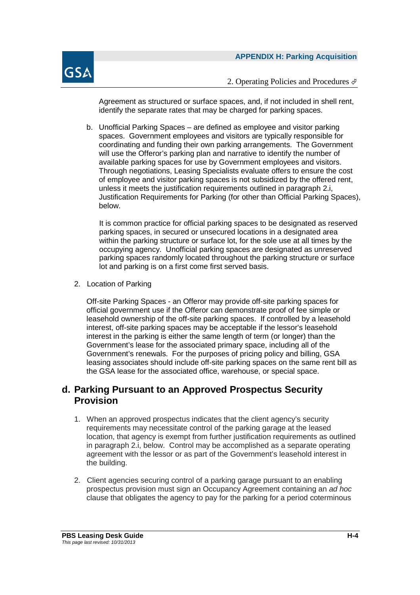

Agreement as structured or surface spaces, and, if not included in shell rent, identify the separate rates that may be charged for parking spaces.

b. Unofficial Parking Spaces – are defined as employee and visitor parking spaces. Government employees and visitors are typically responsible for coordinating and funding their own parking arrangements. The Government will use the Offeror's parking plan and narrative to identify the number of available parking spaces for use by Government employees and visitors. Through negotiations, Leasing Specialists evaluate offers to ensure the cost of employee and visitor parking spaces is not subsidized by the offered rent, unless it meets the justification requirements outlined in paragraph 2.i, Justification Requirements for Parking (for other than Official Parking Spaces), below.

It is common practice for official parking spaces to be designated as reserved parking spaces, in secured or unsecured locations in a designated area within the parking structure or surface lot, for the sole use at all times by the occupying agency. Unofficial parking spaces are designated as unreserved parking spaces randomly located throughout the parking structure or surface lot and parking is on a first come first served basis.

2. Location of Parking

Off-site Parking Spaces - an Offeror may provide off-site parking spaces for official government use if the Offeror can demonstrate proof of fee simple or leasehold ownership of the off-site parking spaces. If controlled by a leasehold interest, off-site parking spaces may be acceptable if the lessor's leasehold interest in the parking is either the same length of term (or longer) than the Government's lease for the associated primary space, including all of the Government's renewals. For the purposes of pricing policy and billing, GSA leasing associates should include off-site parking spaces on the same rent bill as the GSA lease for the associated office, warehouse, or special space.

#### **d. Parking Pursuant to an Approved Prospectus Security Provision**

- 1. When an approved prospectus indicates that the client agency's security requirements may necessitate control of the parking garage at the leased location, that agency is exempt from further justification requirements as outlined in paragraph 2.i, below. Control may be accomplished as a separate operating agreement with the lessor or as part of the Government's leasehold interest in the building.
- 2. Client agencies securing control of a parking garage pursuant to an enabling prospectus provision must sign an Occupancy Agreement containing an *ad hoc* clause that obligates the agency to pay for the parking for a period coterminous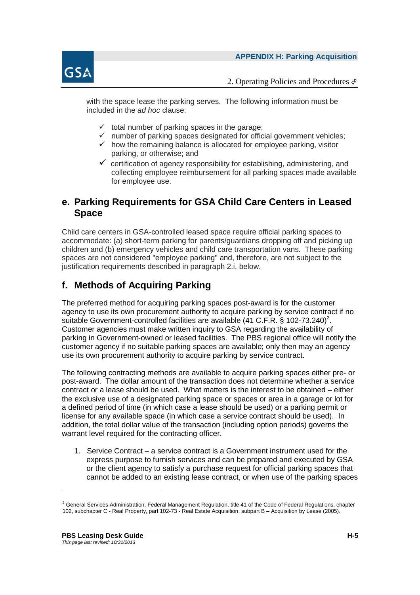

with the space lease the parking serves. The following information must be included in the *ad hoc* clause:

- $\checkmark$  total number of parking spaces in the garage;
- $\checkmark$  number of parking spaces designated for official government vehicles;
- $\checkmark$  how the remaining balance is allocated for employee parking, visitor parking, or otherwise; and
- $\checkmark$  certification of agency responsibility for establishing, administering, and collecting employee reimbursement for all parking spaces made available for employee use.

#### **e. Parking Requirements for GSA Child Care Centers in Leased Space**

Child care centers in GSA-controlled leased space require official parking spaces to accommodate: (a) short-term parking for parents/guardians dropping off and picking up children and (b) emergency vehicles and child care transportation vans. These parking spaces are not considered "employee parking" and, therefore, are not subject to the justification requirements described in paragraph 2.i, below.

#### **f. Methods of Acquiring Parking**

The preferred method for acquiring parking spaces post-award is for the customer agency to use its own procurement authority to acquire parking by service contract if no suitable Government-controlled facilities are available (41 C.F.R. § 102-73.240)<sup>2</sup>. Customer agencies must make written inquiry to GSA regarding the availability of parking in Government-owned or leased facilities. The PBS regional office will notify the customer agency if no suitable parking spaces are available; only then may an agency use its own procurement authority to acquire parking by service contract.

The following contracting methods are available to acquire parking spaces either pre- or post-award. The dollar amount of the transaction does not determine whether a service contract or a lease should be used. What matters is the interest to be obtained – either the exclusive use of a designated parking space or spaces or area in a garage or lot for a defined period of time (in which case a lease should be used) or a parking permit or license for any available space (in which case a service contract should be used). In addition, the total dollar value of the transaction (including option periods) governs the warrant level required for the contracting officer.

1. Service Contract – a service contract is a Government instrument used for the express purpose to furnish services and can be prepared and executed by GSA or the client agency to satisfy a purchase request for official parking spaces that cannot be added to an existing lease contract, or when use of the parking spaces

 $2$  General Services Administration, Federal Management Regulation, title 41 of the Code of Federal Regulations, chapter 102, subchapter C - Real Property, part 102-73 - Real Estate Acquisition, subpart B – Acquisition by Lease (2005).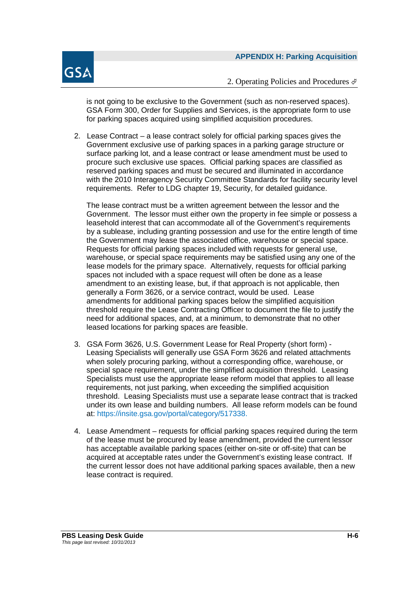

is not going to be exclusive to the Government (such as non-reserved spaces). GSA Form 300, Order for Supplies and Services, is the appropriate form to use for parking spaces acquired using simplified acquisition procedures.

2. Lease Contract – a lease contract solely for official parking spaces gives the Government exclusive use of parking spaces in a parking garage structure or surface parking lot, and a lease contract or lease amendment must be used to procure such exclusive use spaces. Official parking spaces are classified as reserved parking spaces and must be secured and illuminated in accordance with the 2010 Interagency Security Committee Standards for facility security level requirements. Refer to LDG chapter 19, Security, for detailed guidance.

The lease contract must be a written agreement between the lessor and the Government. The lessor must either own the property in fee simple or possess a leasehold interest that can accommodate all of the Government's requirements by a sublease, including granting possession and use for the entire length of time the Government may lease the associated office, warehouse or special space. Requests for official parking spaces included with requests for general use, warehouse, or special space requirements may be satisfied using any one of the lease models for the primary space. Alternatively, requests for official parking spaces not included with a space request will often be done as a lease amendment to an existing lease, but, if that approach is not applicable, then generally a Form 3626, or a service contract, would be used. Lease amendments for additional parking spaces below the simplified acquisition threshold require the Lease Contracting Officer to document the file to justify the need for additional spaces, and, at a minimum, to demonstrate that no other leased locations for parking spaces are feasible.

- 3. GSA Form 3626, U.S. Government Lease for Real Property (short form) Leasing Specialists will generally use GSA Form 3626 and related attachments when solely procuring parking, without a corresponding office, warehouse, or special space requirement, under the simplified acquisition threshold. Leasing Specialists must use the appropriate lease reform model that applies to all lease requirements, not just parking, when exceeding the simplified acquisition threshold. Leasing Specialists must use a separate lease contract that is tracked under its own lease and building numbers. All lease reform models can be found at: https://insite.gsa.gov/portal/category/517338.
- 4. Lease Amendment requests for official parking spaces required during the term of the lease must be procured by lease amendment, provided the current lessor has acceptable available parking spaces (either on-site or off-site) that can be acquired at acceptable rates under the Government's existing lease contract. If the current lessor does not have additional parking spaces available, then a new lease contract is required.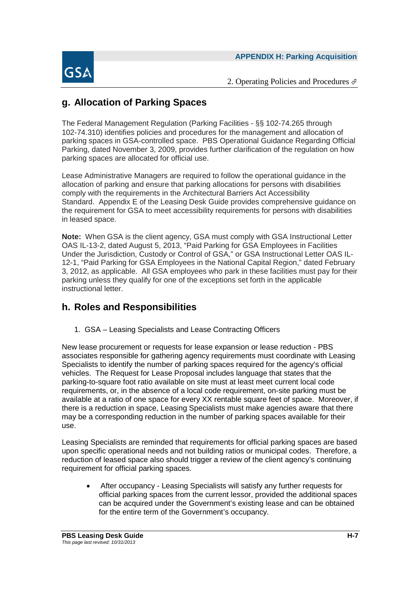



#### **g. Allocation of Parking Spaces**

The Federal Management Regulation (Parking Facilities - §§ 102-74.265 through 102-74.310) identifies policies and procedures for the management and allocation of parking spaces in GSA-controlled space. PBS Operational Guidance Regarding Official Parking, dated November 3, 2009, provides further clarification of the regulation on how parking spaces are allocated for official use.

Lease Administrative Managers are required to follow the operational guidance in the allocation of parking and ensure that parking allocations for persons with disabilities comply with the requirements in the Architectural Barriers Act Accessibility Standard. Appendix E of the Leasing Desk Guide provides comprehensive guidance on the requirement for GSA to meet accessibility requirements for persons with disabilities in leased space.

**Note:** When GSA is the client agency, GSA must comply with GSA Instructional Letter OAS IL-13-2, dated August 5, 2013, "Paid Parking for GSA Employees in Facilities Under the Jurisdiction, Custody or Control of GSA," or GSA Instructional Letter OAS IL-12-1, "Paid Parking for GSA Employees in the National Capital Region," dated February 3, 2012, as applicable. All GSA employees who park in these facilities must pay for their parking unless they qualify for one of the exceptions set forth in the applicable instructional letter.

#### **h. Roles and Responsibilities**

1. GSA – Leasing Specialists and Lease Contracting Officers

New lease procurement or requests for lease expansion or lease reduction - PBS associates responsible for gathering agency requirements must coordinate with Leasing Specialists to identify the number of parking spaces required for the agency's official vehicles. The Request for Lease Proposal includes language that states that the parking-to-square foot ratio available on site must at least meet current local code requirements, or, in the absence of a local code requirement, on-site parking must be available at a ratio of one space for every XX rentable square feet of space. Moreover, if there is a reduction in space, Leasing Specialists must make agencies aware that there may be a corresponding reduction in the number of parking spaces available for their use.

Leasing Specialists are reminded that requirements for official parking spaces are based upon specific operational needs and not building ratios or municipal codes. Therefore, a reduction of leased space also should trigger a review of the client agency's continuing requirement for official parking spaces.

 After occupancy - Leasing Specialists will satisfy any further requests for official parking spaces from the current lessor, provided the additional spaces can be acquired under the Government's existing lease and can be obtained for the entire term of the Government's occupancy.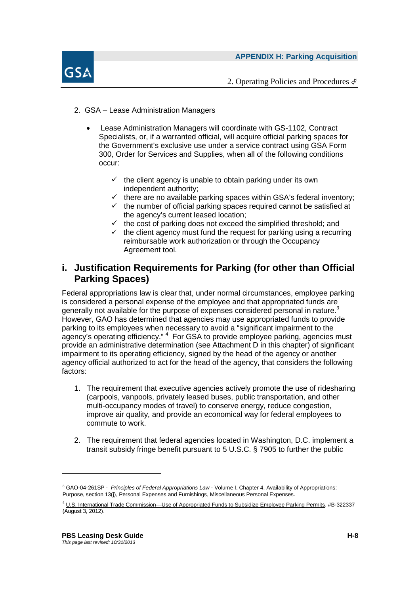



- 2. GSA Lease Administration Managers
	- Lease Administration Managers will coordinate with GS-1102, Contract Specialists, or, if a warranted official, will acquire official parking spaces for the Government's exclusive use under a service contract using GSA Form 300, Order for Services and Supplies, when all of the following conditions occur:
		- $\checkmark$  the client agency is unable to obtain parking under its own independent authority;
		- $\checkmark$  there are no available parking spaces within GSA's federal inventory;
		- $\checkmark$  the number of official parking spaces required cannot be satisfied at the agency's current leased location;
		- $\checkmark$  the cost of parking does not exceed the simplified threshold; and
		- $\checkmark$  the client agency must fund the request for parking using a recurring reimbursable work authorization or through the Occupancy Agreement tool.

#### **i. Justification Requirements for Parking (for other than Official Parking Spaces)**

Federal appropriations law is clear that, under normal circumstances, employee parking is considered a personal expense of the employee and that appropriated funds are generally not available for the purpose of expenses considered personal in nature.<sup>3</sup> However, GAO has determined that agencies may use appropriated funds to provide parking to its employees when necessary to avoid a "significant impairment to the agency's operating efficiency." <sup>4</sup> For GSA to provide employee parking, agencies must provide an administrative determination (see Attachment D in this chapter) of significant impairment to its operating efficiency, signed by the head of the agency or another agency official authorized to act for the head of the agency, that considers the following factors:

- 1. The requirement that executive agencies actively promote the use of ridesharing (carpools, vanpools, privately leased buses, public transportation, and other multi-occupancy modes of travel) to conserve energy, reduce congestion, improve air quality, and provide an economical way for federal employees to commute to work.
- 2. The requirement that federal agencies located in Washington, D.C. implement a transit subsidy fringe benefit pursuant to 5 U.S.C. § 7905 to further the public

<sup>3</sup> GAO-04-261SP - *Principles of Federal Appropriations Law* - Volume I, Chapter 4, Availability of Appropriations: Purpose, section 13(j), Personal Expenses and Furnishings, Miscellaneous Personal Expenses.

<sup>4</sup> U.S. International Trade Commission—Use of Appropriated Funds to Subsidize Employee Parking Permits, #B-322337 (August 3, 2012).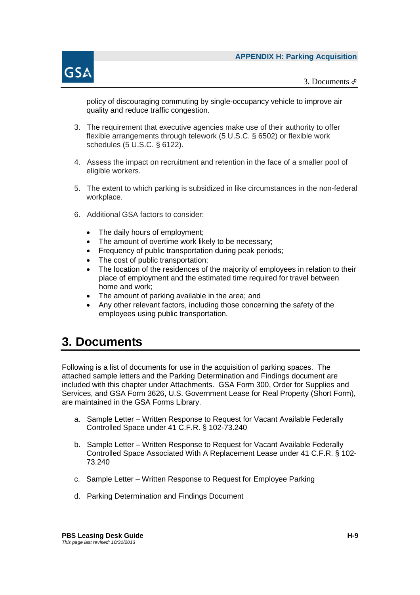

3. Documents  $\mathcal{F}$ 

policy of discouraging commuting by single-occupancy vehicle to improve air quality and reduce traffic congestion.

- 3. The requirement that executive agencies make use of their authority to offer flexible arrangements through telework (5 U.S.C. § 6502) or flexible work schedules (5 U.S.C. § 6122).
- 4. Assess the impact on recruitment and retention in the face of a smaller pool of eligible workers.
- 5. The extent to which parking is subsidized in like circumstances in the non-federal workplace.
- 6. Additional GSA factors to consider:
	- The daily hours of employment:
	- The amount of overtime work likely to be necessary;
	- Frequency of public transportation during peak periods;
	- The cost of public transportation:
	- The location of the residences of the majority of employees in relation to their place of employment and the estimated time required for travel between home and work;
	- The amount of parking available in the area; and
	- Any other relevant factors, including those concerning the safety of the employees using public transportation.

### **3. Documents**

Following is a list of documents for use in the acquisition of parking spaces. The attached sample letters and the Parking Determination and Findings document are included with this chapter under Attachments. GSA Form 300, Order for Supplies and Services, and GSA Form 3626, U.S. Government Lease for Real Property (Short Form), are maintained in the GSA Forms Library.

- a. Sample Letter Written Response to Request for Vacant Available Federally Controlled Space under 41 C.F.R. § 102-73.240
- b. Sample Letter Written Response to Request for Vacant Available Federally Controlled Space Associated With A Replacement Lease under 41 C.F.R. § 102- 73.240
- c. Sample Letter Written Response to Request for Employee Parking
- d. Parking Determination and Findings Document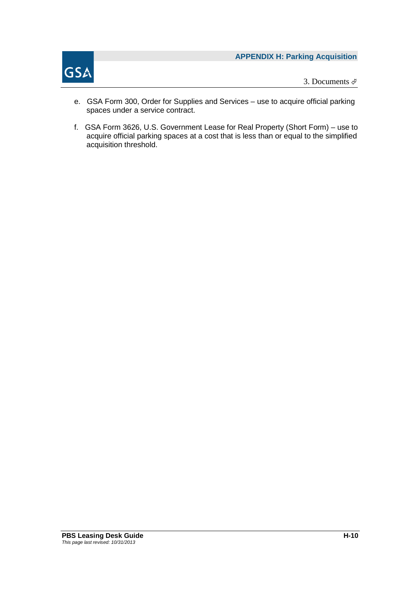

3. Documents

- e. GSA Form 300, Order for Supplies and Services use to acquire official parking spaces under a service contract.
- f. GSA Form 3626, U.S. Government Lease for Real Property (Short Form) use to acquire official parking spaces at a cost that is less than or equal to the simplified acquisition threshold.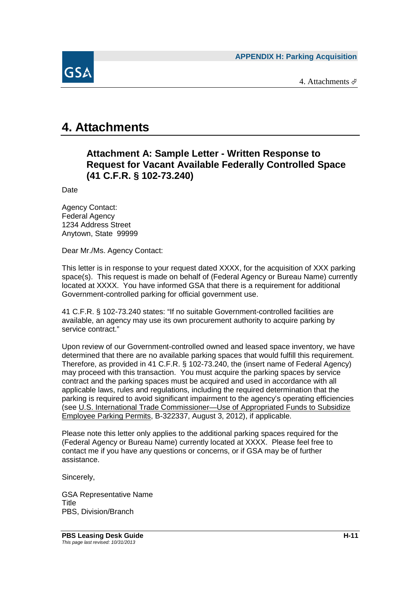**APPENDIX H: Parking Acquisition**

4. Attachments



### **4. Attachments**

#### **Attachment A: Sample Letter - Written Response to Request for Vacant Available Federally Controlled Space (41 C.F.R. § 102-73.240)**

Date

Agency Contact: Federal Agency 1234 Address Street Anytown, State 99999

Dear Mr./Ms. Agency Contact:

This letter is in response to your request dated XXXX, for the acquisition of XXX parking space(s). This request is made on behalf of (Federal Agency or Bureau Name) currently located at XXXX. You have informed GSA that there is a requirement for additional Government-controlled parking for official government use.

41 C.F.R. § 102-73.240 states: "If no suitable Government-controlled facilities are available, an agency may use its own procurement authority to acquire parking by service contract."

Upon review of our Government-controlled owned and leased space inventory, we have determined that there are no available parking spaces that would fulfill this requirement. Therefore, as provided in 41 C.F.R. § 102-73.240, the (insert name of Federal Agency) may proceed with this transaction. You must acquire the parking spaces by service contract and the parking spaces must be acquired and used in accordance with all applicable laws, rules and regulations, including the required determination that the parking is required to avoid significant impairment to the agency's operating efficiencies (see U.S. International Trade Commissioner—Use of Appropriated Funds to Subsidize Employee Parking Permits, B-322337, August 3, 2012), if applicable.

Please note this letter only applies to the additional parking spaces required for the (Federal Agency or Bureau Name) currently located at XXXX. Please feel free to contact me if you have any questions or concerns, or if GSA may be of further assistance.

Sincerely,

GSA Representative Name Title PBS, Division/Branch

**PBS Leasing Desk Guide Hart Contract Contract Contract Contract Contract Contract Contract Contract Contract Contract Contract Contract Contract Contract Contract Contract Contract Contract Contract Contract Contract Cont** *This page last revised: 10/31/2013*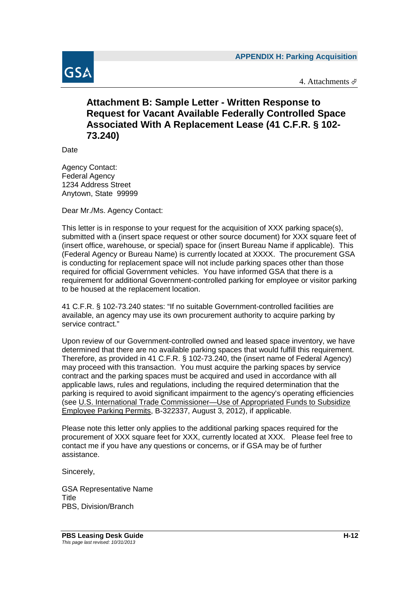

4. Attachments  $\mathcal{P}$ 

#### **Attachment B: Sample Letter - Written Response to Request for Vacant Available Federally Controlled Space Associated With A Replacement Lease (41 C.F.R. § 102- 73.240)**

Date

Agency Contact: Federal Agency 1234 Address Street Anytown, State 99999

Dear Mr./Ms. Agency Contact:

This letter is in response to your request for the acquisition of XXX parking space(s), submitted with a (insert space request or other source document) for XXX square feet of (insert office, warehouse, or special) space for (insert Bureau Name if applicable). This (Federal Agency or Bureau Name) is currently located at XXXX. The procurement GSA is conducting for replacement space will not include parking spaces other than those required for official Government vehicles. You have informed GSA that there is a requirement for additional Government-controlled parking for employee or visitor parking to be housed at the replacement location.

41 C.F.R. § 102-73.240 states: "If no suitable Government-controlled facilities are available, an agency may use its own procurement authority to acquire parking by service contract."

Upon review of our Government-controlled owned and leased space inventory, we have determined that there are no available parking spaces that would fulfill this requirement. Therefore, as provided in 41 C.F.R. § 102-73.240, the (insert name of Federal Agency) may proceed with this transaction. You must acquire the parking spaces by service contract and the parking spaces must be acquired and used in accordance with all applicable laws, rules and regulations, including the required determination that the parking is required to avoid significant impairment to the agency's operating efficiencies (see U.S. International Trade Commissioner—Use of Appropriated Funds to Subsidize Employee Parking Permits, B-322337, August 3, 2012), if applicable.

Please note this letter only applies to the additional parking spaces required for the procurement of XXX square feet for XXX, currently located at XXX. Please feel free to contact me if you have any questions or concerns, or if GSA may be of further assistance.

Sincerely,

GSA Representative Name **Title** PBS, Division/Branch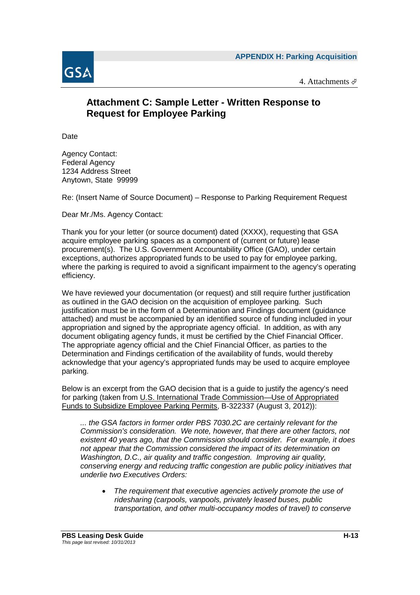

4. Attachments

#### **Attachment C: Sample Letter - Written Response to Request for Employee Parking**

Date

Agency Contact: Federal Agency 1234 Address Street Anytown, State 99999

Re: (Insert Name of Source Document) – Response to Parking Requirement Request

Dear Mr./Ms. Agency Contact:

Thank you for your letter (or source document) dated (XXXX), requesting that GSA acquire employee parking spaces as a component of (current or future) lease procurement(s). The U.S. Government Accountability Office (GAO), under certain exceptions, authorizes appropriated funds to be used to pay for employee parking, where the parking is required to avoid a significant impairment to the agency's operating efficiency.

We have reviewed your documentation (or request) and still require further justification as outlined in the GAO decision on the acquisition of employee parking. Such justification must be in the form of a Determination and Findings document (guidance attached) and must be accompanied by an identified source of funding included in your appropriation and signed by the appropriate agency official. In addition, as with any document obligating agency funds, it must be certified by the Chief Financial Officer. The appropriate agency official and the Chief Financial Officer, as parties to the Determination and Findings certification of the availability of funds, would thereby acknowledge that your agency's appropriated funds may be used to acquire employee parking.

Below is an excerpt from the GAO decision that is a guide to justify the agency's need for parking (taken from U.S. International Trade Commission—Use of Appropriated Funds to Subsidize Employee Parking Permits, B-322337 (August 3, 2012)):

*... the GSA factors in former order PBS 7030.2C are certainly relevant for the Commission's consideration. We note, however, that there are other factors, not existent 40 years ago, that the Commission should consider. For example, it does not appear that the Commission considered the impact of its determination on Washington, D.C., air quality and traffic congestion. Improving air quality, conserving energy and reducing traffic congestion are public policy initiatives that underlie two Executives Orders:*

 *The requirement that executive agencies actively promote the use of ridesharing (carpools, vanpools, privately leased buses, public transportation, and other multi-occupancy modes of travel) to conserve*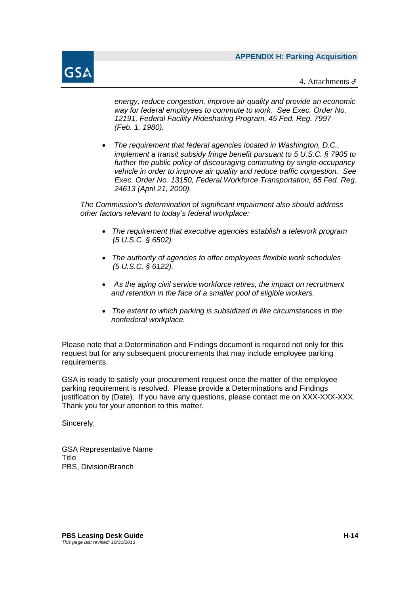

4. Attachments  $\oint$ 

*energy, reduce congestion, improve air quality and provide an economic way for federal employees to commute to work. See Exec. Order No. 12191, Federal Facility Ridesharing Program, 45 Fed. Reg. 7997 (Feb. 1, 1980).*

 *The requirement that federal agencies located in Washington, D.C., implement a transit subsidy fringe benefit pursuant to 5 U.S.C. § 7905 to further the public policy of discouraging commuting by single-occupancy vehicle in order to improve air quality and reduce traffic congestion. See Exec. Order No. 13150, Federal Workforce Transportation, 65 Fed. Reg. 24613 (April 21, 2000).*

*The Commission's determination of significant impairment also should address other factors relevant to today's federal workplace:*

- *The requirement that executive agencies establish a telework program (5 U.S.C. § 6502).*
- *The authority of agencies to offer employees flexible work schedules (5 U.S.C. § 6122).*
- *As the aging civil service workforce retires, the impact on recruitment and retention in the face of a smaller pool of eligible workers.*
- *The extent to which parking is subsidized in like circumstances in the nonfederal workplace.*

Please note that a Determination and Findings document is required not only for this request but for any subsequent procurements that may include employee parking requirements.

GSA is ready to satisfy your procurement request once the matter of the employee parking requirement is resolved. Please provide a Determinations and Findings justification by (Date). If you have any questions, please contact me on XXX-XXX-XXX. Thank you for your attention to this matter.

Sincerely,

GSA Representative Name Title PBS, Division/Branch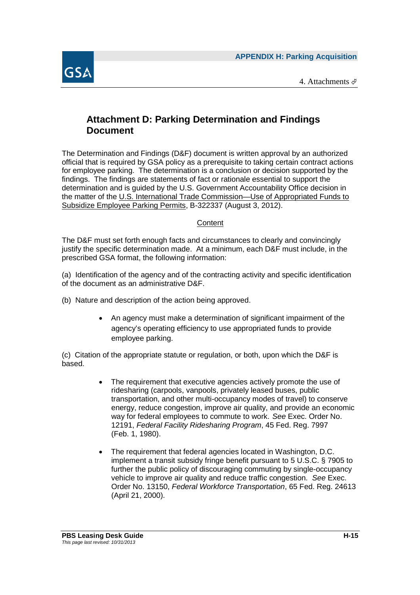

#### **Attachment D: Parking Determination and Findings Document**

The Determination and Findings (D&F) document is written approval by an authorized official that is required by GSA policy as a prerequisite to taking certain contract actions for employee parking. The determination is a conclusion or decision supported by the findings. The findings are statements of fact or rationale essential to support the determination and is guided by the U.S. Government Accountability Office decision in the matter of the U.S. International Trade Commission—Use of Appropriated Funds to Subsidize Employee Parking Permits, B-322337 (August 3, 2012).

#### **Content**

The D&F must set forth enough facts and circumstances to clearly and convincingly justify the specific determination made. At a minimum, each D&F must include, in the prescribed GSA format, the following information:

(a) Identification of the agency and of the contracting activity and specific identification of the document as an administrative D&F.

- (b) Nature and description of the action being approved.
	- An agency must make a determination of significant impairment of the agency's operating efficiency to use appropriated funds to provide employee parking.

(c) Citation of the appropriate statute or regulation, or both, upon which the D&F is based.

- The requirement that executive agencies actively promote the use of ridesharing (carpools, vanpools, privately leased buses, public transportation, and other multi-occupancy modes of travel) to conserve energy, reduce congestion, improve air quality, and provide an economic way for federal employees to commute to work. *See* Exec. Order No. 12191, *Federal Facility Ridesharing Program*, 45 Fed. Reg. 7997 (Feb. 1, 1980).
- The requirement that federal agencies located in Washington, D.C. implement a transit subsidy fringe benefit pursuant to 5 U.S.C. § 7905 to further the public policy of discouraging commuting by single-occupancy vehicle to improve air quality and reduce traffic congestion. *See* Exec. Order No. 13150, *Federal Workforce Transportation*, 65 Fed. Reg. 24613 (April 21, 2000).